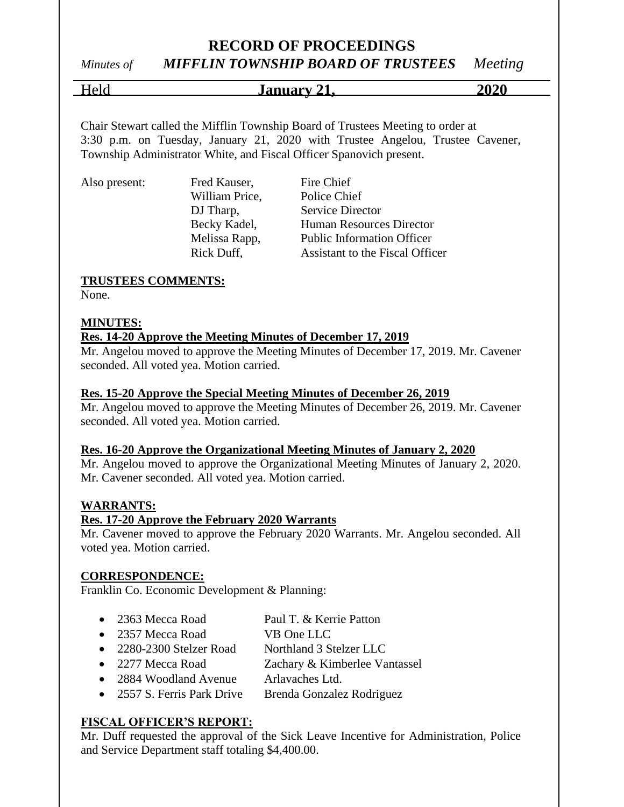## *Minutes of MIFFLIN TOWNSHIP BOARD OF TRUSTEES Meeting*

Held **January 21, 2020**

Chair Stewart called the Mifflin Township Board of Trustees Meeting to order at 3:30 p.m. on Tuesday, January 21, 2020 with Trustee Angelou, Trustee Cavener, Township Administrator White, and Fiscal Officer Spanovich present.

Also present: Fred Kauser, Fire Chief

William Price, Police Chief

DJ Tharp, Service Director Becky Kadel, Human Resources Director Melissa Rapp, Public Information Officer Rick Duff, Assistant to the Fiscal Officer

#### **TRUSTEES COMMENTS:**

None.

#### **MINUTES:**

#### **Res. 14-20 Approve the Meeting Minutes of December 17, 2019**

Mr. Angelou moved to approve the Meeting Minutes of December 17, 2019. Mr. Cavener seconded. All voted yea. Motion carried.

#### **Res. 15-20 Approve the Special Meeting Minutes of December 26, 2019**

Mr. Angelou moved to approve the Meeting Minutes of December 26, 2019. Mr. Cavener seconded. All voted yea. Motion carried.

#### **Res. 16-20 Approve the Organizational Meeting Minutes of January 2, 2020**

Mr. Angelou moved to approve the Organizational Meeting Minutes of January 2, 2020. Mr. Cavener seconded. All voted yea. Motion carried.

#### **WARRANTS:**

#### **Res. 17-20 Approve the February 2020 Warrants**

Mr. Cavener moved to approve the February 2020 Warrants. Mr. Angelou seconded. All voted yea. Motion carried.

#### **CORRESPONDENCE:**

Franklin Co. Economic Development & Planning:

| • 2363 Mecca Road           | Paul T. & Kerrie Patton       |
|-----------------------------|-------------------------------|
| • 2357 Mecca Road           | VB One LLC                    |
| • 2280-2300 Stelzer Road    | Northland 3 Stelzer LLC       |
| • 2277 Mecca Road           | Zachary & Kimberlee Vantassel |
| 2884 Woodland Avenue        | Arlavaches Ltd.               |
| • 2557 S. Ferris Park Drive | Brenda Gonzalez Rodriguez     |

#### **FISCAL OFFICER'S REPORT:**

Mr. Duff requested the approval of the Sick Leave Incentive for Administration, Police and Service Department staff totaling \$4,400.00.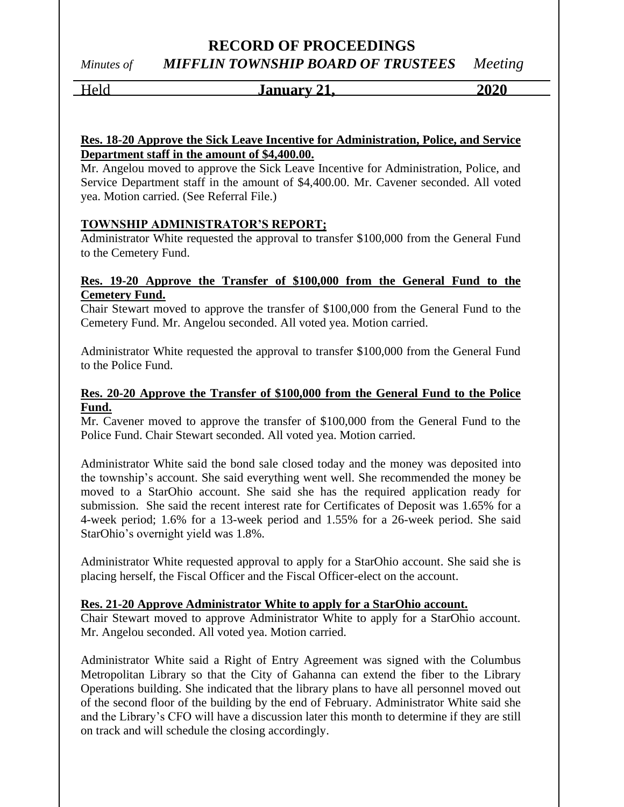*Minutes of MIFFLIN TOWNSHIP BOARD OF TRUSTEES Meeting*

Held **January 21, 2020**

#### **Res. 18-20 Approve the Sick Leave Incentive for Administration, Police, and Service Department staff in the amount of \$4,400.00.**

Mr. Angelou moved to approve the Sick Leave Incentive for Administration, Police, and Service Department staff in the amount of \$4,400.00. Mr. Cavener seconded. All voted yea. Motion carried. (See Referral File.)

#### **TOWNSHIP ADMINISTRATOR'S REPORT;**

Administrator White requested the approval to transfer \$100,000 from the General Fund to the Cemetery Fund.

#### **Res. 19-20 Approve the Transfer of \$100,000 from the General Fund to the Cemetery Fund.**

Chair Stewart moved to approve the transfer of \$100,000 from the General Fund to the Cemetery Fund. Mr. Angelou seconded. All voted yea. Motion carried.

Administrator White requested the approval to transfer \$100,000 from the General Fund to the Police Fund.

#### **Res. 20-20 Approve the Transfer of \$100,000 from the General Fund to the Police Fund.**

Mr. Cavener moved to approve the transfer of \$100,000 from the General Fund to the Police Fund. Chair Stewart seconded. All voted yea. Motion carried.

Administrator White said the bond sale closed today and the money was deposited into the township's account. She said everything went well. She recommended the money be moved to a StarOhio account. She said she has the required application ready for submission. She said the recent interest rate for Certificates of Deposit was 1.65% for a 4-week period; 1.6% for a 13-week period and 1.55% for a 26-week period. She said StarOhio's overnight yield was 1.8%.

Administrator White requested approval to apply for a StarOhio account. She said she is placing herself, the Fiscal Officer and the Fiscal Officer-elect on the account.

#### **Res. 21-20 Approve Administrator White to apply for a StarOhio account.**

Chair Stewart moved to approve Administrator White to apply for a StarOhio account. Mr. Angelou seconded. All voted yea. Motion carried.

Administrator White said a Right of Entry Agreement was signed with the Columbus Metropolitan Library so that the City of Gahanna can extend the fiber to the Library Operations building. She indicated that the library plans to have all personnel moved out of the second floor of the building by the end of February. Administrator White said she and the Library's CFO will have a discussion later this month to determine if they are still on track and will schedule the closing accordingly.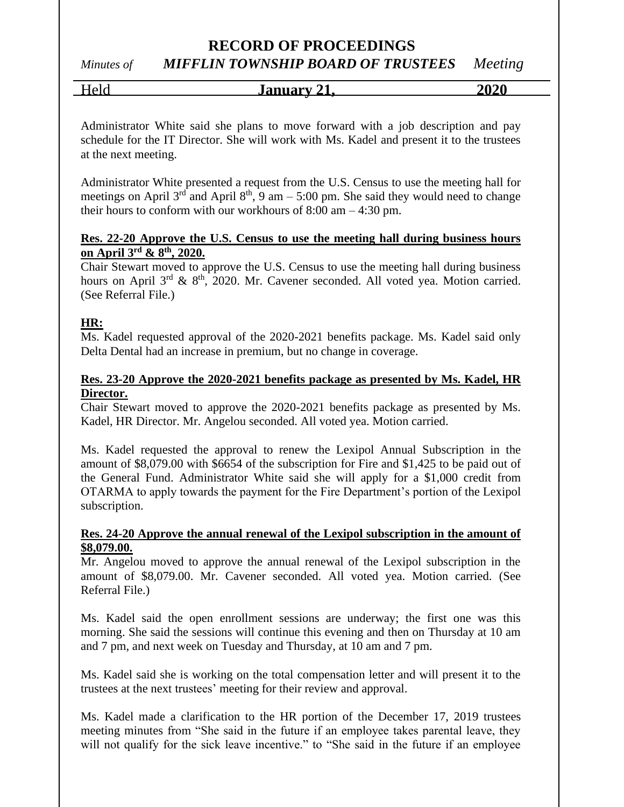# *Minutes of MIFFLIN TOWNSHIP BOARD OF TRUSTEES Meeting*

Held **January 21, 2020**

Administrator White said she plans to move forward with a job description and pay schedule for the IT Director. She will work with Ms. Kadel and present it to the trustees at the next meeting.

Administrator White presented a request from the U.S. Census to use the meeting hall for meetings on April  $3^{rd}$  and April  $8^{th}$ , 9 am – 5:00 pm. She said they would need to change their hours to conform with our workhours of 8:00 am – 4:30 pm.

#### **Res. 22-20 Approve the U.S. Census to use the meeting hall during business hours on April 3rd & 8th, 2020.**

Chair Stewart moved to approve the U.S. Census to use the meeting hall during business hours on April  $3^{rd}$  &  $8^{th}$ , 2020. Mr. Cavener seconded. All voted yea. Motion carried. (See Referral File.)

#### **HR:**

Ms. Kadel requested approval of the 2020-2021 benefits package. Ms. Kadel said only Delta Dental had an increase in premium, but no change in coverage.

#### **Res. 23-20 Approve the 2020-2021 benefits package as presented by Ms. Kadel, HR Director.**

Chair Stewart moved to approve the 2020-2021 benefits package as presented by Ms. Kadel, HR Director. Mr. Angelou seconded. All voted yea. Motion carried.

Ms. Kadel requested the approval to renew the Lexipol Annual Subscription in the amount of \$8,079.00 with \$6654 of the subscription for Fire and \$1,425 to be paid out of the General Fund. Administrator White said she will apply for a \$1,000 credit from OTARMA to apply towards the payment for the Fire Department's portion of the Lexipol subscription.

#### **Res. 24-20 Approve the annual renewal of the Lexipol subscription in the amount of \$8,079.00.**

Mr. Angelou moved to approve the annual renewal of the Lexipol subscription in the amount of \$8,079.00. Mr. Cavener seconded. All voted yea. Motion carried. (See Referral File.)

Ms. Kadel said the open enrollment sessions are underway; the first one was this morning. She said the sessions will continue this evening and then on Thursday at 10 am and 7 pm, and next week on Tuesday and Thursday, at 10 am and 7 pm.

Ms. Kadel said she is working on the total compensation letter and will present it to the trustees at the next trustees' meeting for their review and approval.

Ms. Kadel made a clarification to the HR portion of the December 17, 2019 trustees meeting minutes from "She said in the future if an employee takes parental leave, they will not qualify for the sick leave incentive." to "She said in the future if an employee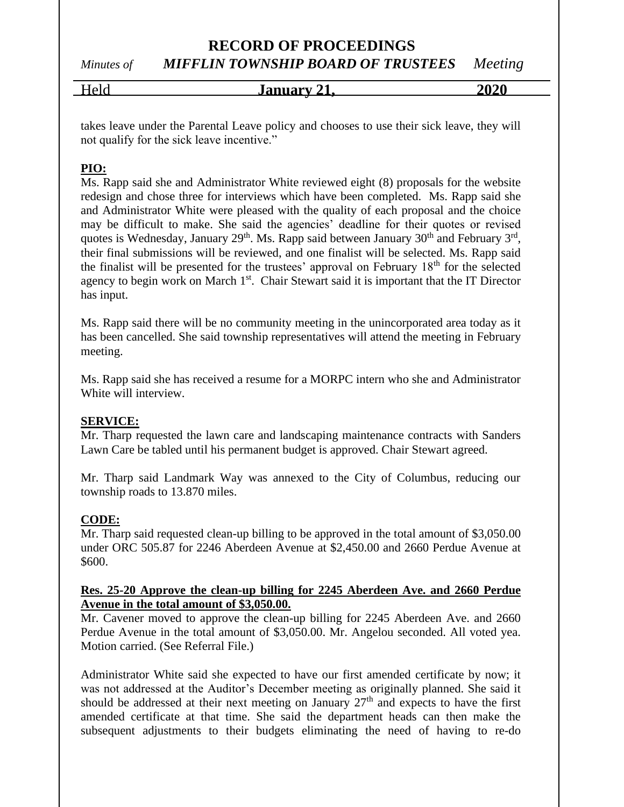*Minutes of MIFFLIN TOWNSHIP BOARD OF TRUSTEES Meeting*

| $\sim$<br>- -<br>$-0.0$ | <u>January</u><br>41. | 2020 |
|-------------------------|-----------------------|------|
|                         |                       |      |

takes leave under the Parental Leave policy and chooses to use their sick leave, they will not qualify for the sick leave incentive."

### **PIO:**

Ms. Rapp said she and Administrator White reviewed eight (8) proposals for the website redesign and chose three for interviews which have been completed. Ms. Rapp said she and Administrator White were pleased with the quality of each proposal and the choice may be difficult to make. She said the agencies' deadline for their quotes or revised quotes is Wednesday, January  $29<sup>th</sup>$ . Ms. Rapp said between January  $30<sup>th</sup>$  and February  $3<sup>rd</sup>$ , their final submissions will be reviewed, and one finalist will be selected. Ms. Rapp said the finalist will be presented for the trustees' approval on February  $18<sup>th</sup>$  for the selected agency to begin work on March 1<sup>st</sup>. Chair Stewart said it is important that the IT Director has input.

Ms. Rapp said there will be no community meeting in the unincorporated area today as it has been cancelled. She said township representatives will attend the meeting in February meeting.

Ms. Rapp said she has received a resume for a MORPC intern who she and Administrator White will interview.

#### **SERVICE:**

Mr. Tharp requested the lawn care and landscaping maintenance contracts with Sanders Lawn Care be tabled until his permanent budget is approved. Chair Stewart agreed.

Mr. Tharp said Landmark Way was annexed to the City of Columbus, reducing our township roads to 13.870 miles.

#### **CODE:**

Mr. Tharp said requested clean-up billing to be approved in the total amount of \$3,050.00 under ORC 505.87 for 2246 Aberdeen Avenue at \$2,450.00 and 2660 Perdue Avenue at \$600.

#### **Res. 25-20 Approve the clean-up billing for 2245 Aberdeen Ave. and 2660 Perdue Avenue in the total amount of \$3,050.00.**

Mr. Cavener moved to approve the clean-up billing for 2245 Aberdeen Ave. and 2660 Perdue Avenue in the total amount of \$3,050.00. Mr. Angelou seconded. All voted yea. Motion carried. (See Referral File.)

Administrator White said she expected to have our first amended certificate by now; it was not addressed at the Auditor's December meeting as originally planned. She said it should be addressed at their next meeting on January  $27<sup>th</sup>$  and expects to have the first amended certificate at that time. She said the department heads can then make the subsequent adjustments to their budgets eliminating the need of having to re-do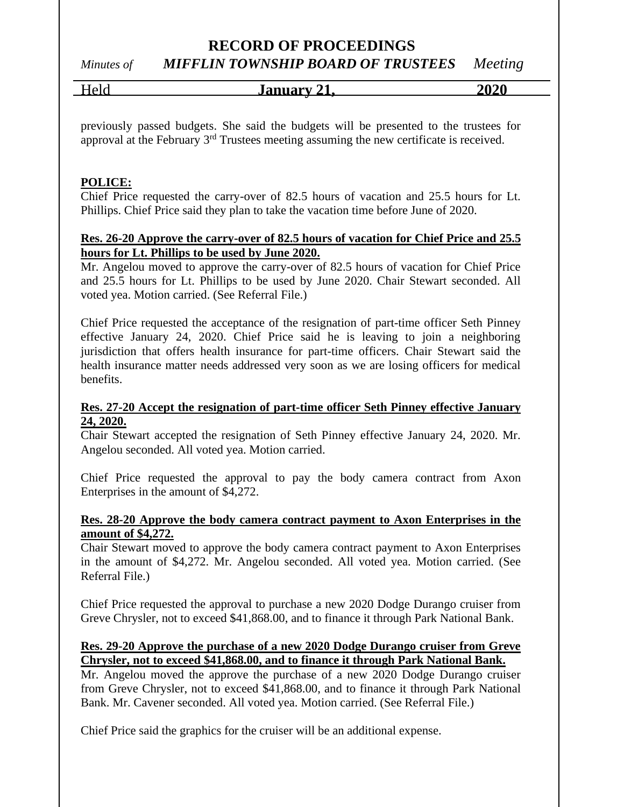## *Minutes of MIFFLIN TOWNSHIP BOARD OF TRUSTEES Meeting*

Held **January 21, 2020**

previously passed budgets. She said the budgets will be presented to the trustees for approval at the February 3rd Trustees meeting assuming the new certificate is received.

#### **POLICE:**

Chief Price requested the carry-over of 82.5 hours of vacation and 25.5 hours for Lt. Phillips. Chief Price said they plan to take the vacation time before June of 2020.

#### **Res. 26-20 Approve the carry-over of 82.5 hours of vacation for Chief Price and 25.5 hours for Lt. Phillips to be used by June 2020.**

Mr. Angelou moved to approve the carry-over of 82.5 hours of vacation for Chief Price and 25.5 hours for Lt. Phillips to be used by June 2020. Chair Stewart seconded. All voted yea. Motion carried. (See Referral File.)

Chief Price requested the acceptance of the resignation of part-time officer Seth Pinney effective January 24, 2020. Chief Price said he is leaving to join a neighboring jurisdiction that offers health insurance for part-time officers. Chair Stewart said the health insurance matter needs addressed very soon as we are losing officers for medical benefits.

#### **Res. 27-20 Accept the resignation of part-time officer Seth Pinney effective January 24, 2020.**

Chair Stewart accepted the resignation of Seth Pinney effective January 24, 2020. Mr. Angelou seconded. All voted yea. Motion carried.

Chief Price requested the approval to pay the body camera contract from Axon Enterprises in the amount of \$4,272.

#### **Res. 28-20 Approve the body camera contract payment to Axon Enterprises in the amount of \$4,272.**

Chair Stewart moved to approve the body camera contract payment to Axon Enterprises in the amount of \$4,272. Mr. Angelou seconded. All voted yea. Motion carried. (See Referral File.)

Chief Price requested the approval to purchase a new 2020 Dodge Durango cruiser from Greve Chrysler, not to exceed \$41,868.00, and to finance it through Park National Bank.

#### **Res. 29-20 Approve the purchase of a new 2020 Dodge Durango cruiser from Greve Chrysler, not to exceed \$41,868.00, and to finance it through Park National Bank.**

Mr. Angelou moved the approve the purchase of a new 2020 Dodge Durango cruiser from Greve Chrysler, not to exceed \$41,868.00, and to finance it through Park National Bank. Mr. Cavener seconded. All voted yea. Motion carried. (See Referral File.)

Chief Price said the graphics for the cruiser will be an additional expense.